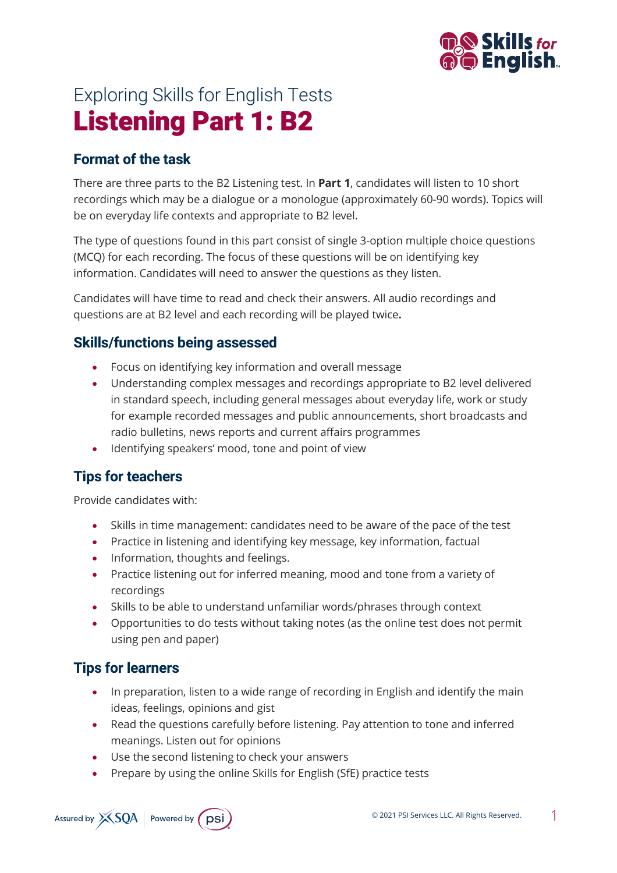

# Exploring Skills for English Tests Listening Part 1: B2

## **Format of the task**

There are three parts to the B2 Listening test. In **Part 1**, candidates will listen to 10 short recordings which may be a dialogue or a monologue (approximately 60-90 words). Topics will be on everyday life contexts and appropriate to B2 level.

The type of questions found in this part consist of single 3-option multiple choice questions (MCQ) for each recording. The focus of these questions will be on identifying key information. Candidates will need to answer the questions as they listen.

Candidates will have time to read and check their answers. All audio recordings and questions are at B2 level and each recording will be played twice**.**

## **Skills/functions being assessed**

- Focus on identifying key information and overall message
- Understanding complex messages and recordings appropriate to B2 level delivered in standard speech, including general messages about everyday life, work or study for example recorded messages and public announcements, short broadcasts and radio bulletins, news reports and current affairs programmes
- Identifying speakers' mood, tone and point of view

## **Tips for teachers**

Provide candidates with:

- Skills in time management: candidates need to be aware of the pace of the test
- Practice in listening and identifying key message, key information, factual
- Information, thoughts and feelings.
- Practice listening out for inferred meaning, mood and tone from a variety of recordings
- Skills to be able to understand unfamiliar words/phrases through context
- Opportunities to do tests without taking notes (as the online test does not permit using pen and paper)

# **Tips for learners**

- In preparation, listen to a wide range of recording in English and identify the main ideas, feelings, opinions and gist
- Read the questions carefully before listening. Pay attention to tone and inferred meanings. Listen out for opinions
- Use the second listening to check your answers
- Prepare by using the online Skills for English (SfE) practice tests